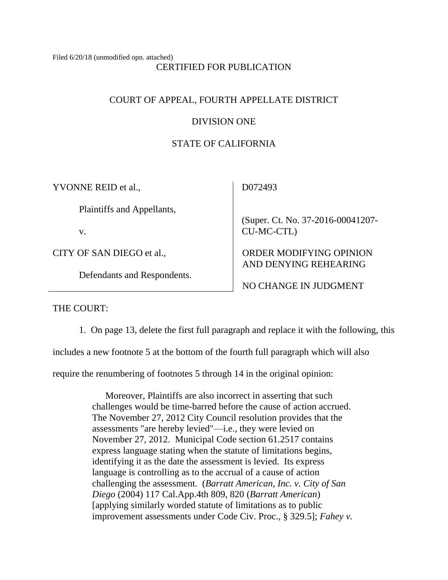Filed 6/20/18 (unmodified opn. attached) CERTIFIED FOR PUBLICATION

# COURT OF APPEAL, FOURTH APPELLATE DISTRICT

# DIVISION ONE

# STATE OF CALIFORNIA

| YVONNE REID et al.,         | D072493                           |
|-----------------------------|-----------------------------------|
| Plaintiffs and Appellants,  | (Super. Ct. No. 37-2016-00041207- |
| V.                          | CU-MC-CTL)                        |
| CITY OF SAN DIEGO et al.,   | ORDER MODIFYING OPINION           |
| Defendants and Respondents. | AND DENYING REHEARING             |
|                             | NO CHANGE IN JUDGMENT             |

THE COURT:

1. On page 13, delete the first full paragraph and replace it with the following, this

includes a new footnote 5 at the bottom of the fourth full paragraph which will also

require the renumbering of footnotes 5 through 14 in the original opinion:

Moreover, Plaintiffs are also incorrect in asserting that such challenges would be time-barred before the cause of action accrued. The November 27, 2012 City Council resolution provides that the assessments "are hereby levied"—i.e., they were levied on November 27, 2012. Municipal Code section 61.2517 contains express language stating when the statute of limitations begins, identifying it as the date the assessment is levied. Its express language is controlling as to the accrual of a cause of action challenging the assessment. (*Barratt American, Inc. v. City of San Diego* (2004) 117 Cal.App.4th 809, 820 (*Barratt American*) [applying similarly worded statute of limitations as to public improvement assessments under Code Civ. Proc., § 329.5]; *Fahey v.*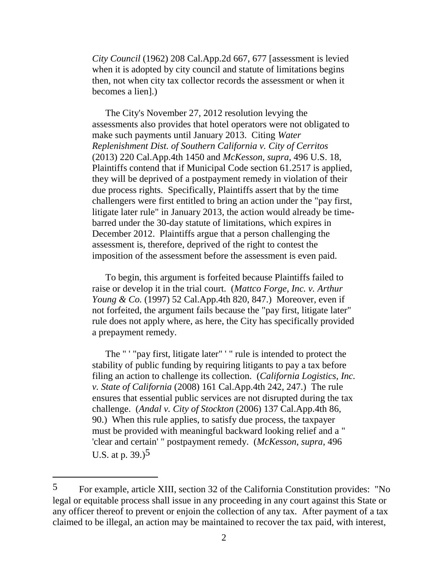*City Council* (1962) 208 Cal.App.2d 667, 677 [assessment is levied when it is adopted by city council and statute of limitations begins then, not when city tax collector records the assessment or when it becomes a lien].)

The City's November 27, 2012 resolution levying the assessments also provides that hotel operators were not obligated to make such payments until January 2013. Citing *Water Replenishment Dist. of Southern California v. City of Cerritos*  (2013) 220 Cal.App.4th 1450 and *McKesson, supra,* 496 U.S. 18, Plaintiffs contend that if Municipal Code section 61.2517 is applied, they will be deprived of a postpayment remedy in violation of their due process rights. Specifically, Plaintiffs assert that by the time challengers were first entitled to bring an action under the "pay first, litigate later rule" in January 2013, the action would already be timebarred under the 30-day statute of limitations, which expires in December 2012. Plaintiffs argue that a person challenging the assessment is, therefore, deprived of the right to contest the imposition of the assessment before the assessment is even paid.

To begin, this argument is forfeited because Plaintiffs failed to raise or develop it in the trial court. (*Mattco Forge, Inc. v. Arthur Young & Co.* (1997) 52 Cal.App.4th 820, 847.) Moreover, even if not forfeited, the argument fails because the "pay first, litigate later" rule does not apply where, as here, the City has specifically provided a prepayment remedy.

The " ' "pay first, litigate later" ' " rule is intended to protect the stability of public funding by requiring litigants to pay a tax before filing an action to challenge its collection. (*California Logistics, Inc. v. State of California* (2008) 161 Cal.App.4th 242, 247.) The rule ensures that essential public services are not disrupted during the tax challenge. (*Andal v. City of Stockton* (2006) 137 Cal.App.4th 86, 90.) When this rule applies, to satisfy due process, the taxpayer must be provided with meaningful backward looking relief and a " 'clear and certain' " postpayment remedy. (*McKesson*, *supra*, 496 U.S. at p. 39.)5

<sup>5</sup> For example, article XIII, section 32 of the California Constitution provides: "No legal or equitable process shall issue in any proceeding in any court against this State or any officer thereof to prevent or enjoin the collection of any tax. After payment of a tax claimed to be illegal, an action may be maintained to recover the tax paid, with interest,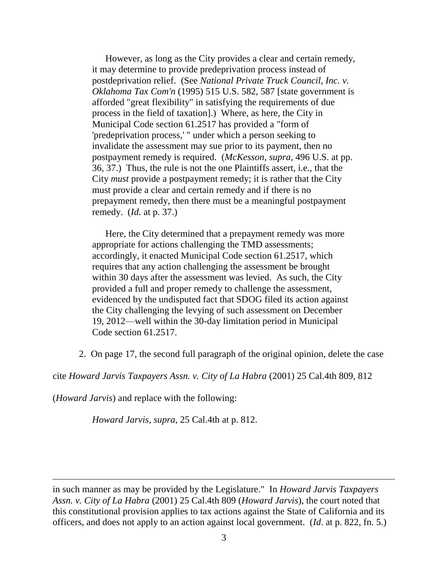However, as long as the City provides a clear and certain remedy, it may determine to provide predeprivation process instead of postdeprivation relief. (See *National Private Truck Council, Inc. v. Oklahoma Tax Com'n* (1995) 515 U.S. 582, 587 [state government is afforded "great flexibility" in satisfying the requirements of due process in the field of taxation].) Where, as here, the City in Municipal Code section 61.2517 has provided a "form of 'predeprivation process,' " under which a person seeking to invalidate the assessment may sue prior to its payment, then no postpayment remedy is required. (*McKesson, supra,* 496 U.S. at pp. 36, 37.) Thus, the rule is not the one Plaintiffs assert, i.e., that the City *must* provide a postpayment remedy; it is rather that the City must provide a clear and certain remedy and if there is no prepayment remedy, then there must be a meaningful postpayment remedy. (*Id.* at p. 37.)

Here, the City determined that a prepayment remedy was more appropriate for actions challenging the TMD assessments; accordingly, it enacted Municipal Code section 61.2517, which requires that any action challenging the assessment be brought within 30 days after the assessment was levied. As such, the City provided a full and proper remedy to challenge the assessment, evidenced by the undisputed fact that SDOG filed its action against the City challenging the levying of such assessment on December 19, 2012—well within the 30-day limitation period in Municipal Code section 61.2517.

2. On page 17, the second full paragraph of the original opinion, delete the case

cite *Howard Jarvis Taxpayers Assn. v. City of La Habra* (2001) 25 Cal.4th 809, 812

(*Howard Jarvis*) and replace with the following:

*Howard Jarvis, supra*, 25 Cal.4th at p. 812.

in such manner as may be provided by the Legislature." In *Howard Jarvis Taxpayers Assn. v. City of La Habra* (2001) 25 Cal.4th 809 (*Howard Jarvis*), the court noted that this constitutional provision applies to tax actions against the State of California and its officers, and does not apply to an action against local government. (*Id*. at p. 822, fn. 5.)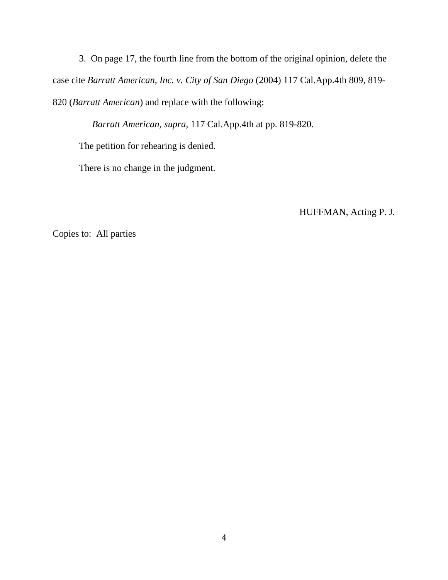3. On page 17, the fourth line from the bottom of the original opinion, delete the case cite *Barratt American, Inc. v. City of San Diego* (2004) 117 Cal.App.4th 809, 819- 820 (*Barratt American*) and replace with the following:

*Barratt American, supra*, 117 Cal.App.4th at pp. 819-820.

The petition for rehearing is denied.

There is no change in the judgment.

HUFFMAN, Acting P. J.

Copies to: All parties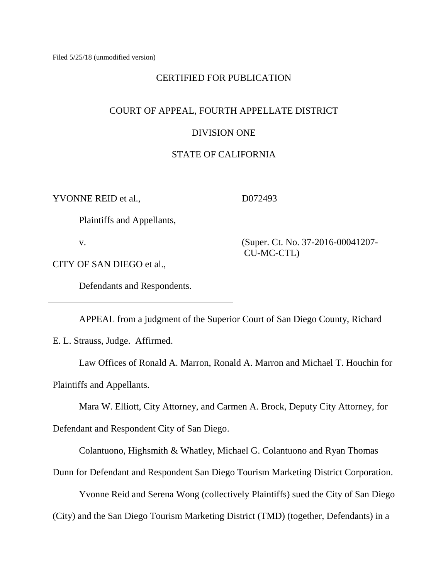## CERTIFIED FOR PUBLICATION

## COURT OF APPEAL, FOURTH APPELLATE DISTRICT

## DIVISION ONE

# STATE OF CALIFORNIA

YVONNE REID et al.,

D072493

Plaintiffs and Appellants,

v.

CITY OF SAN DIEGO et al.,

Defendants and Respondents.

 (Super. Ct. No. 37-2016-00041207- CU-MC-CTL)

APPEAL from a judgment of the Superior Court of San Diego County, Richard E. L. Strauss, Judge. Affirmed.

Law Offices of Ronald A. Marron, Ronald A. Marron and Michael T. Houchin for Plaintiffs and Appellants.

Mara W. Elliott, City Attorney, and Carmen A. Brock, Deputy City Attorney, for

Defendant and Respondent City of San Diego.

Colantuono, Highsmith & Whatley, Michael G. Colantuono and Ryan Thomas

Dunn for Defendant and Respondent San Diego Tourism Marketing District Corporation.

Yvonne Reid and Serena Wong (collectively Plaintiffs) sued the City of San Diego

(City) and the San Diego Tourism Marketing District (TMD) (together, Defendants) in a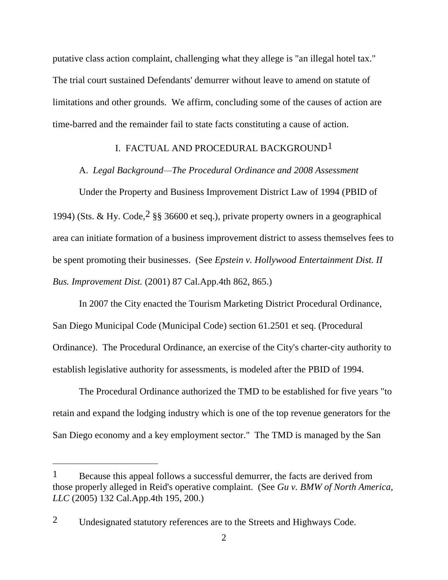putative class action complaint, challenging what they allege is "an illegal hotel tax." The trial court sustained Defendants' demurrer without leave to amend on statute of limitations and other grounds. We affirm, concluding some of the causes of action are time-barred and the remainder fail to state facts constituting a cause of action.

## I. FACTUAL AND PROCEDURAL BACKGROUND1

A. *Legal Background—The Procedural Ordinance and 2008 Assessment*

Under the Property and Business Improvement District Law of 1994 (PBID of 1994) (Sts. & Hy. Code,  $2$  §§ 36600 et seq.), private property owners in a geographical area can initiate formation of a business improvement district to assess themselves fees to be spent promoting their businesses. (See *Epstein v. Hollywood Entertainment Dist. II Bus. Improvement Dist.* (2001) 87 Cal.App.4th 862, 865.)

In 2007 the City enacted the Tourism Marketing District Procedural Ordinance, San Diego Municipal Code (Municipal Code) section 61.2501 et seq. (Procedural Ordinance). The Procedural Ordinance, an exercise of the City's charter-city authority to establish legislative authority for assessments, is modeled after the PBID of 1994.

The Procedural Ordinance authorized the TMD to be established for five years "to retain and expand the lodging industry which is one of the top revenue generators for the San Diego economy and a key employment sector." The TMD is managed by the San

 $1$  Because this appeal follows a successful demurrer, the facts are derived from those properly alleged in Reid's operative complaint. (See *Gu v. BMW of North America, LLC* (2005) 132 Cal.App.4th 195, 200.)

<sup>2</sup> Undesignated statutory references are to the Streets and Highways Code.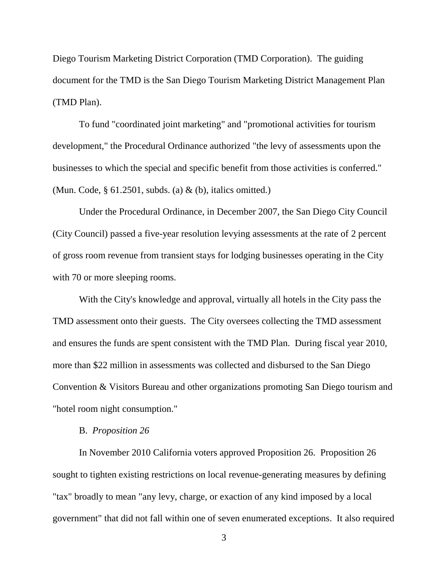Diego Tourism Marketing District Corporation (TMD Corporation). The guiding document for the TMD is the San Diego Tourism Marketing District Management Plan (TMD Plan).

To fund "coordinated joint marketing" and "promotional activities for tourism development," the Procedural Ordinance authorized "the levy of assessments upon the businesses to which the special and specific benefit from those activities is conferred." (Mun. Code, § 61.2501, subds. (a) & (b), italics omitted.)

Under the Procedural Ordinance, in December 2007, the San Diego City Council (City Council) passed a five-year resolution levying assessments at the rate of 2 percent of gross room revenue from transient stays for lodging businesses operating in the City with 70 or more sleeping rooms.

With the City's knowledge and approval, virtually all hotels in the City pass the TMD assessment onto their guests. The City oversees collecting the TMD assessment and ensures the funds are spent consistent with the TMD Plan. During fiscal year 2010, more than \$22 million in assessments was collected and disbursed to the San Diego Convention & Visitors Bureau and other organizations promoting San Diego tourism and "hotel room night consumption."

### B. *Proposition 26*

In November 2010 California voters approved Proposition 26. Proposition 26 sought to tighten existing restrictions on local revenue-generating measures by defining "tax" broadly to mean "any levy, charge, or exaction of any kind imposed by a local government" that did not fall within one of seven enumerated exceptions. It also required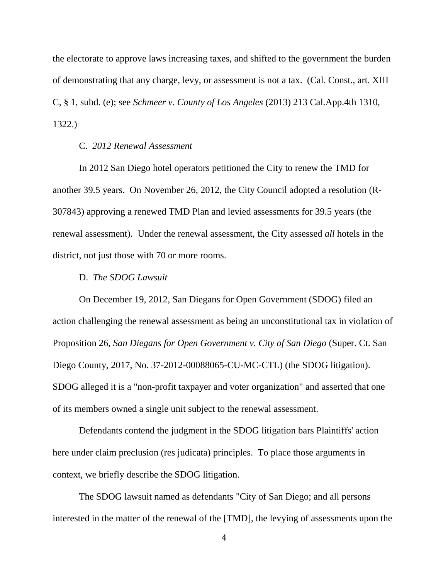the electorate to approve laws increasing taxes, and shifted to the government the burden of demonstrating that any charge, levy, or assessment is not a tax. (Cal. Const., art. XIII C, § 1, subd. (e); see *Schmeer v. County of Los Angeles* (2013) 213 Cal.App.4th 1310, 1322.)

## C. *2012 Renewal Assessment*

In 2012 San Diego hotel operators petitioned the City to renew the TMD for another 39.5 years. On November 26, 2012, the City Council adopted a resolution (R-307843) approving a renewed TMD Plan and levied assessments for 39.5 years (the renewal assessment). Under the renewal assessment, the City assessed *all* hotels in the district, not just those with 70 or more rooms.

## D. *The SDOG Lawsuit*

On December 19, 2012, San Diegans for Open Government (SDOG) filed an action challenging the renewal assessment as being an unconstitutional tax in violation of Proposition 26, *San Diegans for Open Government v. City of San Diego* (Super. Ct. San Diego County, 2017, No. 37-2012-00088065-CU-MC-CTL) (the SDOG litigation). SDOG alleged it is a "non-profit taxpayer and voter organization" and asserted that one of its members owned a single unit subject to the renewal assessment.

Defendants contend the judgment in the SDOG litigation bars Plaintiffs' action here under claim preclusion (res judicata) principles. To place those arguments in context, we briefly describe the SDOG litigation.

The SDOG lawsuit named as defendants "City of San Diego; and all persons interested in the matter of the renewal of the [TMD], the levying of assessments upon the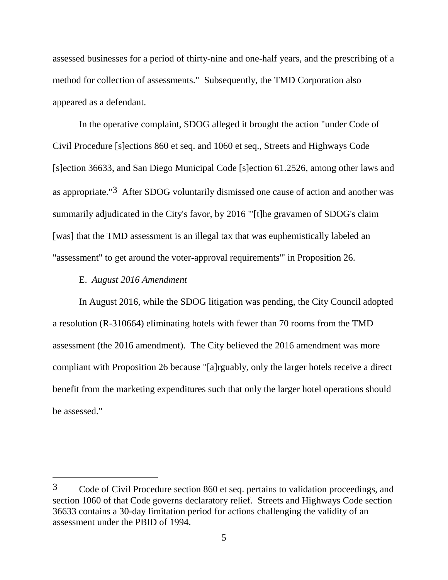assessed businesses for a period of thirty-nine and one-half years, and the prescribing of a method for collection of assessments." Subsequently, the TMD Corporation also appeared as a defendant.

In the operative complaint, SDOG alleged it brought the action "under Code of Civil Procedure [s]ections 860 et seq. and 1060 et seq., Streets and Highways Code [s]ection 36633, and San Diego Municipal Code [s]ection 61.2526, among other laws and as appropriate."3 After SDOG voluntarily dismissed one cause of action and another was summarily adjudicated in the City's favor, by 2016 "'[t]he gravamen of SDOG's claim [was] that the TMD assessment is an illegal tax that was euphemistically labeled an "assessment" to get around the voter-approval requirements'" in Proposition 26.

## E. *August 2016 Amendment*

In August 2016, while the SDOG litigation was pending, the City Council adopted a resolution (R-310664) eliminating hotels with fewer than 70 rooms from the TMD assessment (the 2016 amendment). The City believed the 2016 amendment was more compliant with Proposition 26 because "[a]rguably, only the larger hotels receive a direct benefit from the marketing expenditures such that only the larger hotel operations should be assessed."

<sup>3</sup> Code of Civil Procedure section 860 et seq. pertains to validation proceedings, and section 1060 of that Code governs declaratory relief. Streets and Highways Code section 36633 contains a 30-day limitation period for actions challenging the validity of an assessment under the PBID of 1994.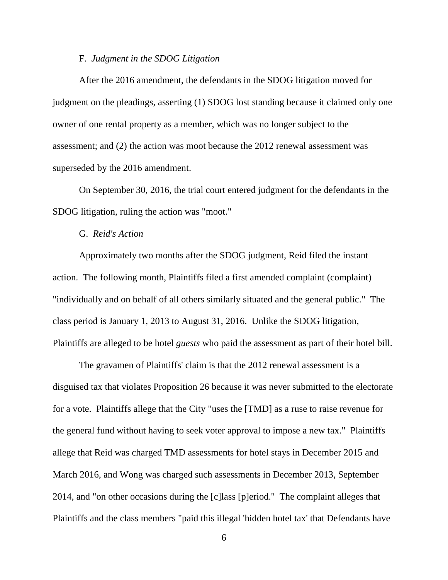#### F. *Judgment in the SDOG Litigation*

After the 2016 amendment, the defendants in the SDOG litigation moved for judgment on the pleadings, asserting (1) SDOG lost standing because it claimed only one owner of one rental property as a member, which was no longer subject to the assessment; and (2) the action was moot because the 2012 renewal assessment was superseded by the 2016 amendment.

On September 30, 2016, the trial court entered judgment for the defendants in the SDOG litigation, ruling the action was "moot."

## G. *Reid's Action*

Approximately two months after the SDOG judgment, Reid filed the instant action. The following month, Plaintiffs filed a first amended complaint (complaint) "individually and on behalf of all others similarly situated and the general public." The class period is January 1, 2013 to August 31, 2016. Unlike the SDOG litigation, Plaintiffs are alleged to be hotel *guests* who paid the assessment as part of their hotel bill.

The gravamen of Plaintiffs' claim is that the 2012 renewal assessment is a disguised tax that violates Proposition 26 because it was never submitted to the electorate for a vote. Plaintiffs allege that the City "uses the [TMD] as a ruse to raise revenue for the general fund without having to seek voter approval to impose a new tax." Plaintiffs allege that Reid was charged TMD assessments for hotel stays in December 2015 and March 2016, and Wong was charged such assessments in December 2013, September 2014, and "on other occasions during the [c]lass [p]eriod." The complaint alleges that Plaintiffs and the class members "paid this illegal 'hidden hotel tax' that Defendants have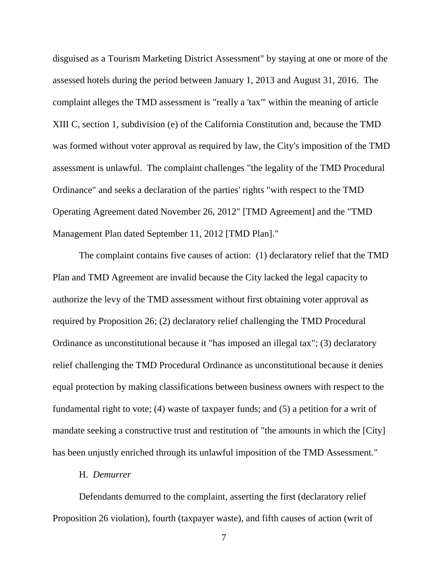disguised as a Tourism Marketing District Assessment" by staying at one or more of the assessed hotels during the period between January 1, 2013 and August 31, 2016. The complaint alleges the TMD assessment is "really a 'tax'" within the meaning of article XIII C, section 1, subdivision (e) of the California Constitution and, because the TMD was formed without voter approval as required by law, the City's imposition of the TMD assessment is unlawful. The complaint challenges "the legality of the TMD Procedural Ordinance" and seeks a declaration of the parties' rights "with respect to the TMD Operating Agreement dated November 26, 2012" [TMD Agreement] and the "TMD Management Plan dated September 11, 2012 [TMD Plan]."

The complaint contains five causes of action: (1) declaratory relief that the TMD Plan and TMD Agreement are invalid because the City lacked the legal capacity to authorize the levy of the TMD assessment without first obtaining voter approval as required by Proposition 26; (2) declaratory relief challenging the TMD Procedural Ordinance as unconstitutional because it "has imposed an illegal tax"; (3) declaratory relief challenging the TMD Procedural Ordinance as unconstitutional because it denies equal protection by making classifications between business owners with respect to the fundamental right to vote; (4) waste of taxpayer funds; and (5) a petition for a writ of mandate seeking a constructive trust and restitution of "the amounts in which the [City] has been unjustly enriched through its unlawful imposition of the TMD Assessment."

#### H. *Demurrer*

Defendants demurred to the complaint, asserting the first (declaratory relief Proposition 26 violation), fourth (taxpayer waste), and fifth causes of action (writ of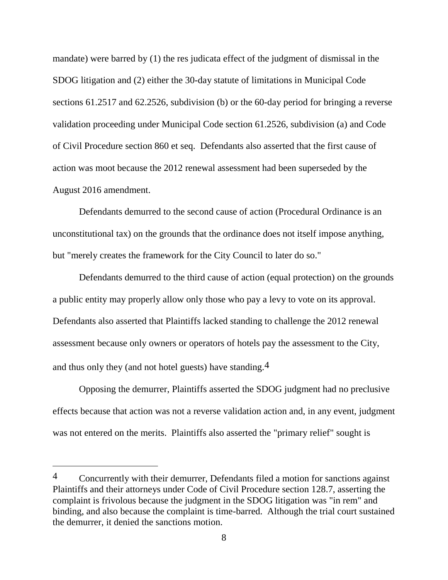mandate) were barred by (1) the res judicata effect of the judgment of dismissal in the SDOG litigation and (2) either the 30-day statute of limitations in Municipal Code sections 61.2517 and 62.2526, subdivision (b) or the 60-day period for bringing a reverse validation proceeding under Municipal Code section 61.2526, subdivision (a) and Code of Civil Procedure section 860 et seq. Defendants also asserted that the first cause of action was moot because the 2012 renewal assessment had been superseded by the August 2016 amendment.

Defendants demurred to the second cause of action (Procedural Ordinance is an unconstitutional tax) on the grounds that the ordinance does not itself impose anything, but "merely creates the framework for the City Council to later do so."

Defendants demurred to the third cause of action (equal protection) on the grounds a public entity may properly allow only those who pay a levy to vote on its approval. Defendants also asserted that Plaintiffs lacked standing to challenge the 2012 renewal assessment because only owners or operators of hotels pay the assessment to the City, and thus only they (and not hotel guests) have standing.4

Opposing the demurrer, Plaintiffs asserted the SDOG judgment had no preclusive effects because that action was not a reverse validation action and, in any event, judgment was not entered on the merits. Plaintiffs also asserted the "primary relief" sought is

<sup>4</sup> Concurrently with their demurrer, Defendants filed a motion for sanctions against Plaintiffs and their attorneys under Code of Civil Procedure section 128.7, asserting the complaint is frivolous because the judgment in the SDOG litigation was "in rem" and binding, and also because the complaint is time-barred. Although the trial court sustained the demurrer, it denied the sanctions motion.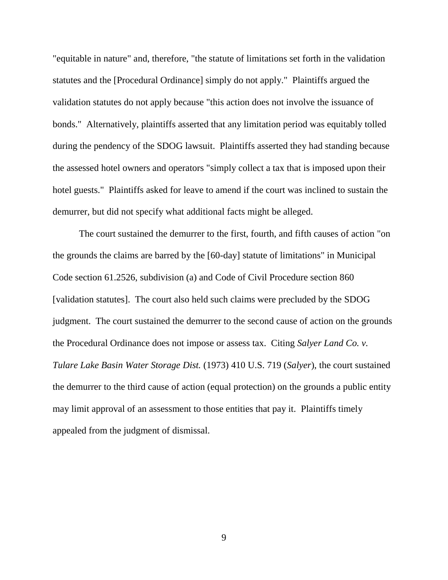"equitable in nature" and, therefore, "the statute of limitations set forth in the validation statutes and the [Procedural Ordinance] simply do not apply." Plaintiffs argued the validation statutes do not apply because "this action does not involve the issuance of bonds." Alternatively, plaintiffs asserted that any limitation period was equitably tolled during the pendency of the SDOG lawsuit. Plaintiffs asserted they had standing because the assessed hotel owners and operators "simply collect a tax that is imposed upon their hotel guests." Plaintiffs asked for leave to amend if the court was inclined to sustain the demurrer, but did not specify what additional facts might be alleged.

The court sustained the demurrer to the first, fourth, and fifth causes of action "on the grounds the claims are barred by the [60-day] statute of limitations" in Municipal Code section 61.2526, subdivision (a) and Code of Civil Procedure section 860 [validation statutes]. The court also held such claims were precluded by the SDOG judgment. The court sustained the demurrer to the second cause of action on the grounds the Procedural Ordinance does not impose or assess tax. Citing *Salyer Land Co. v. Tulare Lake Basin Water Storage Dist.* (1973) 410 U.S. 719 (*Salyer*), the court sustained the demurrer to the third cause of action (equal protection) on the grounds a public entity may limit approval of an assessment to those entities that pay it. Plaintiffs timely appealed from the judgment of dismissal.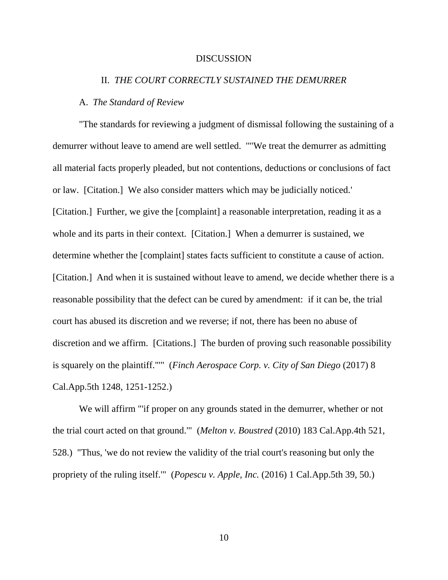#### DISCUSSION

## II. *THE COURT CORRECTLY SUSTAINED THE DEMURRER*

## A. *The Standard of Review*

"The standards for reviewing a judgment of dismissal following the sustaining of a demurrer without leave to amend are well settled. '"'We treat the demurrer as admitting all material facts properly pleaded, but not contentions, deductions or conclusions of fact or law. [Citation.] We also consider matters which may be judicially noticed.' [Citation.] Further, we give the [complaint] a reasonable interpretation, reading it as a whole and its parts in their context. [Citation.] When a demurrer is sustained, we determine whether the [complaint] states facts sufficient to constitute a cause of action. [Citation.] And when it is sustained without leave to amend, we decide whether there is a reasonable possibility that the defect can be cured by amendment: if it can be, the trial court has abused its discretion and we reverse; if not, there has been no abuse of discretion and we affirm. [Citations.] The burden of proving such reasonable possibility is squarely on the plaintiff."'" (*Finch Aerospace Corp. v. City of San Diego* (2017) 8 Cal.App.5th 1248, 1251-1252.)

We will affirm "'if proper on any grounds stated in the demurrer, whether or not the trial court acted on that ground.'" (*Melton v. Boustred* (2010) 183 Cal.App.4th 521, 528.) "Thus, 'we do not review the validity of the trial court's reasoning but only the propriety of the ruling itself.'" (*Popescu v. Apple, Inc.* (2016) 1 Cal.App.5th 39, 50.)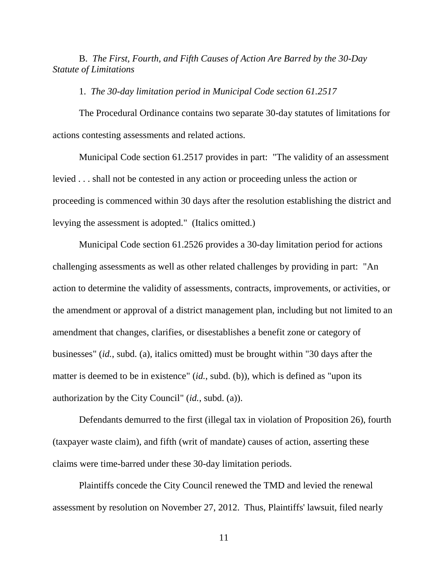B. *The First, Fourth, and Fifth Causes of Action Are Barred by the 30-Day Statute of Limitations*

1. *The 30-day limitation period in Municipal Code section 61.2517*

The Procedural Ordinance contains two separate 30-day statutes of limitations for actions contesting assessments and related actions.

Municipal Code section 61.2517 provides in part: "The validity of an assessment levied . . . shall not be contested in any action or proceeding unless the action or proceeding is commenced within 30 days after the resolution establishing the district and levying the assessment is adopted." (Italics omitted.)

Municipal Code section 61.2526 provides a 30-day limitation period for actions challenging assessments as well as other related challenges by providing in part: "An action to determine the validity of assessments, contracts, improvements, or activities, or the amendment or approval of a district management plan, including but not limited to an amendment that changes, clarifies, or disestablishes a benefit zone or category of businesses" (*id.*, subd. (a), italics omitted) must be brought within "30 days after the matter is deemed to be in existence" (*id.*, subd. (b)), which is defined as "upon its authorization by the City Council" (*id.*, subd. (a)).

Defendants demurred to the first (illegal tax in violation of Proposition 26), fourth (taxpayer waste claim), and fifth (writ of mandate) causes of action, asserting these claims were time-barred under these 30-day limitation periods.

Plaintiffs concede the City Council renewed the TMD and levied the renewal assessment by resolution on November 27, 2012. Thus, Plaintiffs' lawsuit, filed nearly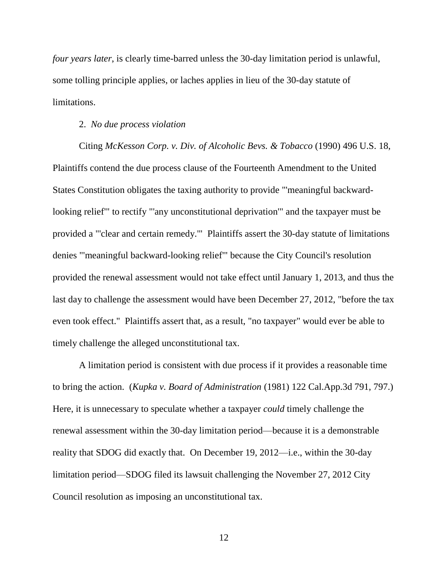*four years later*, is clearly time-barred unless the 30-day limitation period is unlawful, some tolling principle applies, or laches applies in lieu of the 30-day statute of limitations.

### 2. *No due process violation*

Citing *McKesson Corp. v. Div. of Alcoholic Bevs. & Tobacco* (1990) 496 U.S. 18, Plaintiffs contend the due process clause of the Fourteenth Amendment to the United States Constitution obligates the taxing authority to provide "'meaningful backwardlooking relief'" to rectify "'any unconstitutional deprivation'" and the taxpayer must be provided a "'clear and certain remedy.'" Plaintiffs assert the 30-day statute of limitations denies "'meaningful backward-looking relief'" because the City Council's resolution provided the renewal assessment would not take effect until January 1, 2013, and thus the last day to challenge the assessment would have been December 27, 2012, "before the tax even took effect." Plaintiffs assert that, as a result, "no taxpayer" would ever be able to timely challenge the alleged unconstitutional tax.

A limitation period is consistent with due process if it provides a reasonable time to bring the action. (*Kupka v. Board of Administration* (1981) 122 Cal.App.3d 791, 797.) Here, it is unnecessary to speculate whether a taxpayer *could* timely challenge the renewal assessment within the 30-day limitation period—because it is a demonstrable reality that SDOG did exactly that. On December 19, 2012—i.e., within the 30-day limitation period—SDOG filed its lawsuit challenging the November 27, 2012 City Council resolution as imposing an unconstitutional tax.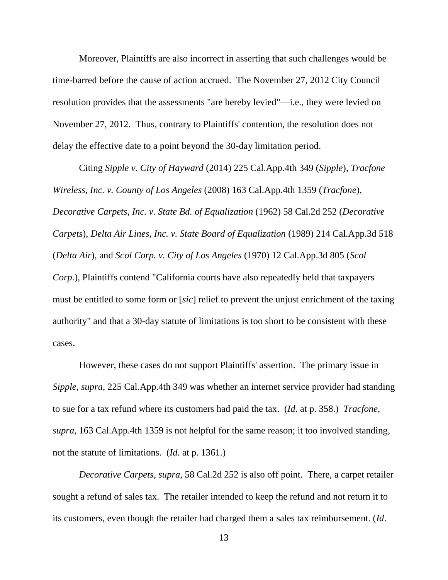Moreover, Plaintiffs are also incorrect in asserting that such challenges would be time-barred before the cause of action accrued. The November 27, 2012 City Council resolution provides that the assessments "are hereby levied"—i.e., they were levied on November 27, 2012. Thus, contrary to Plaintiffs' contention, the resolution does not delay the effective date to a point beyond the 30-day limitation period.

Citing *Sipple v. City of Hayward* (2014) 225 Cal.App.4th 349 (*Sipple*), *Tracfone Wireless, Inc. v. County of Los Angeles* (2008) 163 Cal.App.4th 1359 (*Tracfone*), *Decorative Carpets, Inc. v. State Bd. of Equalization* (1962) 58 Cal.2d 252 (*Decorative Carpets*), *Delta Air Lines, Inc. v. State Board of Equalization* (1989) 214 Cal.App.3d 518 (*Delta Air*), and *Scol Corp. v. City of Los Angeles* (1970) 12 Cal.App.3d 805 (*Scol Corp*.), Plaintiffs contend "California courts have also repeatedly held that taxpayers must be entitled to some form or [*sic*] relief to prevent the unjust enrichment of the taxing authority" and that a 30-day statute of limitations is too short to be consistent with these cases.

However, these cases do not support Plaintiffs' assertion. The primary issue in *Sipple*, *supra*, 225 Cal.App.4th 349 was whether an internet service provider had standing to sue for a tax refund where its customers had paid the tax. (*Id*. at p. 358.) *Tracfone*, *supra*, 163 Cal.App.4th 1359 is not helpful for the same reason; it too involved standing, not the statute of limitations. (*Id.* at p. 1361.)

*Decorative Carpets*, *supra*, 58 Cal.2d 252 is also off point. There, a carpet retailer sought a refund of sales tax. The retailer intended to keep the refund and not return it to its customers, even though the retailer had charged them a sales tax reimbursement. (*Id*.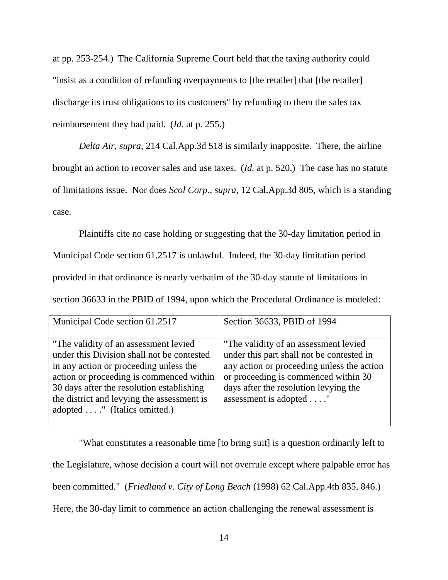at pp. 253-254.) The California Supreme Court held that the taxing authority could "insist as a condition of refunding overpayments to [the retailer] that [the retailer] discharge its trust obligations to its customers" by refunding to them the sales tax reimbursement they had paid. (*Id.* at p. 255.)

*Delta Air*, *supra*, 214 Cal.App.3d 518 is similarly inapposite. There, the airline brought an action to recover sales and use taxes. (*Id.* at p. 520.) The case has no statute of limitations issue. Nor does *Scol Corp*., *supra*, 12 Cal.App.3d 805, which is a standing case.

Plaintiffs cite no case holding or suggesting that the 30-day limitation period in Municipal Code section 61.2517 is unlawful. Indeed, the 30-day limitation period provided in that ordinance is nearly verbatim of the 30-day statute of limitations in section 36633 in the PBID of 1994, upon which the Procedural Ordinance is modeled:

| Municipal Code section 61.2517                                                                                                                                                                                                                                                                                | Section 36633, PBID of 1994                                                                                                                                                                                                                  |
|---------------------------------------------------------------------------------------------------------------------------------------------------------------------------------------------------------------------------------------------------------------------------------------------------------------|----------------------------------------------------------------------------------------------------------------------------------------------------------------------------------------------------------------------------------------------|
| "The validity of an assessment levied<br>under this Division shall not be contested<br>in any action or proceeding unless the<br>action or proceeding is commenced within<br>30 days after the resolution establishing<br>the district and levying the assessment is<br>adopted $\dots$ ." (Italics omitted.) | "The validity of an assessment levied<br>under this part shall not be contested in<br>any action or proceeding unless the action<br>or proceeding is commenced within 30<br>days after the resolution levying the<br>assessment is adopted " |

"What constitutes a reasonable time [to bring suit] is a question ordinarily left to the Legislature, whose decision a court will not overrule except where palpable error has been committed." (*Friedland v. City of Long Beach* (1998) 62 Cal.App.4th 835, 846.) Here, the 30-day limit to commence an action challenging the renewal assessment is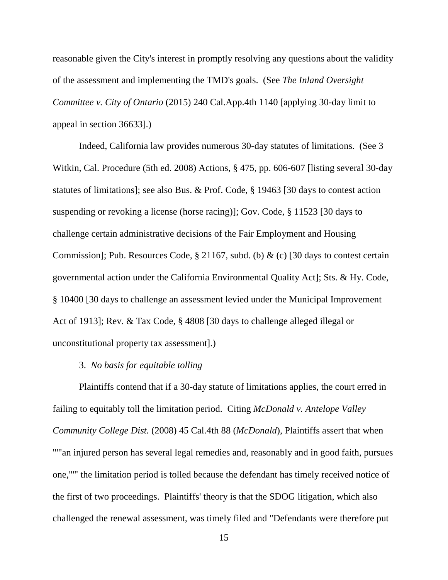reasonable given the City's interest in promptly resolving any questions about the validity of the assessment and implementing the TMD's goals. (See *The Inland Oversight Committee v. City of Ontario* (2015) 240 Cal.App.4th 1140 [applying 30-day limit to appeal in section 36633].)

Indeed, California law provides numerous 30-day statutes of limitations. (See 3 Witkin, Cal. Procedure (5th ed. 2008) Actions, § 475, pp. 606-607 [listing several 30-day statutes of limitations]; see also Bus. & Prof. Code, § 19463 [30 days to contest action suspending or revoking a license (horse racing)]; Gov. Code, § 11523 [30 days to challenge certain administrative decisions of the Fair Employment and Housing Commission]; Pub. Resources Code, § 21167, subd. (b) & (c) [30 days to contest certain governmental action under the California Environmental Quality Act]; Sts. & Hy. Code, § 10400 [30 days to challenge an assessment levied under the Municipal Improvement Act of 1913]; Rev. & Tax Code, § 4808 [30 days to challenge alleged illegal or unconstitutional property tax assessment].)

### 3. *No basis for equitable tolling*

Plaintiffs contend that if a 30-day statute of limitations applies, the court erred in failing to equitably toll the limitation period. Citing *McDonald v. Antelope Valley Community College Dist.* (2008) 45 Cal.4th 88 (*McDonald*), Plaintiffs assert that when "'"an injured person has several legal remedies and, reasonably and in good faith, pursues one,"'" the limitation period is tolled because the defendant has timely received notice of the first of two proceedings. Plaintiffs' theory is that the SDOG litigation, which also challenged the renewal assessment, was timely filed and "Defendants were therefore put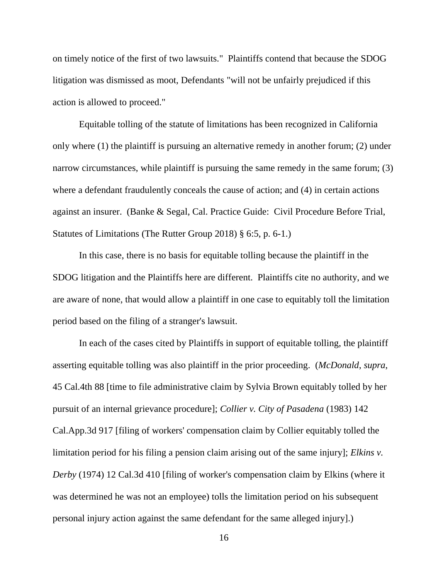on timely notice of the first of two lawsuits." Plaintiffs contend that because the SDOG litigation was dismissed as moot, Defendants "will not be unfairly prejudiced if this action is allowed to proceed."

Equitable tolling of the statute of limitations has been recognized in California only where (1) the plaintiff is pursuing an alternative remedy in another forum; (2) under narrow circumstances, while plaintiff is pursuing the same remedy in the same forum; (3) where a defendant fraudulently conceals the cause of action; and (4) in certain actions against an insurer. (Banke & Segal, Cal. Practice Guide: Civil Procedure Before Trial, Statutes of Limitations (The Rutter Group 2018) § 6:5, p. 6-1.)

In this case, there is no basis for equitable tolling because the plaintiff in the SDOG litigation and the Plaintiffs here are different. Plaintiffs cite no authority, and we are aware of none, that would allow a plaintiff in one case to equitably toll the limitation period based on the filing of a stranger's lawsuit.

In each of the cases cited by Plaintiffs in support of equitable tolling, the plaintiff asserting equitable tolling was also plaintiff in the prior proceeding. (*McDonald*, *supra*, 45 Cal.4th 88 [time to file administrative claim by Sylvia Brown equitably tolled by her pursuit of an internal grievance procedure]; *Collier v. City of Pasadena* (1983) 142 Cal.App.3d 917 [filing of workers' compensation claim by Collier equitably tolled the limitation period for his filing a pension claim arising out of the same injury]; *Elkins v. Derby* (1974) 12 Cal.3d 410 [filing of worker's compensation claim by Elkins (where it was determined he was not an employee) tolls the limitation period on his subsequent personal injury action against the same defendant for the same alleged injury].)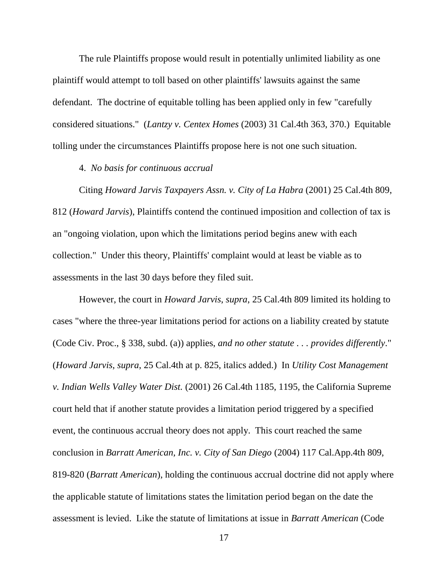The rule Plaintiffs propose would result in potentially unlimited liability as one plaintiff would attempt to toll based on other plaintiffs' lawsuits against the same defendant. The doctrine of equitable tolling has been applied only in few "carefully considered situations." (*Lantzy v. Centex Homes* (2003) 31 Cal.4th 363, 370.) Equitable tolling under the circumstances Plaintiffs propose here is not one such situation.

4. *No basis for continuous accrual*

Citing *Howard Jarvis Taxpayers Assn. v. City of La Habra* (2001) 25 Cal.4th 809, 812 (*Howard Jarvis*), Plaintiffs contend the continued imposition and collection of tax is an "ongoing violation, upon which the limitations period begins anew with each collection." Under this theory, Plaintiffs' complaint would at least be viable as to assessments in the last 30 days before they filed suit.

However, the court in *Howard Jarvis*, *supra*, 25 Cal.4th 809 limited its holding to cases "where the three-year limitations period for actions on a liability created by statute (Code Civ. Proc., § 338, subd. (a)) applies, *and no other statute . . . provides differently*." (*Howard Jarvis*, *supra*, 25 Cal.4th at p. 825, italics added.) In *Utility Cost Management v. Indian Wells Valley Water Dist.* (2001) 26 Cal.4th 1185, 1195, the California Supreme court held that if another statute provides a limitation period triggered by a specified event, the continuous accrual theory does not apply. This court reached the same conclusion in *Barratt American, Inc. v. City of San Diego* (2004) 117 Cal.App.4th 809, 819-820 (*Barratt American*), holding the continuous accrual doctrine did not apply where the applicable statute of limitations states the limitation period began on the date the assessment is levied. Like the statute of limitations at issue in *Barratt American* (Code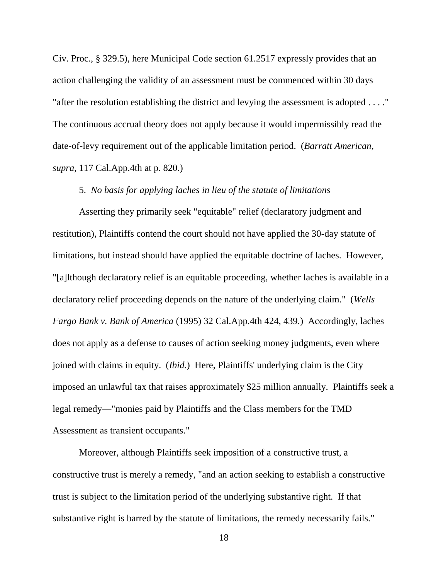Civ. Proc., § 329.5), here Municipal Code section 61.2517 expressly provides that an action challenging the validity of an assessment must be commenced within 30 days "after the resolution establishing the district and levying the assessment is adopted . . . ." The continuous accrual theory does not apply because it would impermissibly read the date-of-levy requirement out of the applicable limitation period. (*Barratt American*, *supra*, 117 Cal.App.4th at p. 820.)

# 5. *No basis for applying laches in lieu of the statute of limitations*

Asserting they primarily seek "equitable" relief (declaratory judgment and restitution), Plaintiffs contend the court should not have applied the 30-day statute of limitations, but instead should have applied the equitable doctrine of laches. However, "[a]lthough declaratory relief is an equitable proceeding, whether laches is available in a declaratory relief proceeding depends on the nature of the underlying claim." (*Wells Fargo Bank v. Bank of America* (1995) 32 Cal.App.4th 424, 439.) Accordingly, laches does not apply as a defense to causes of action seeking money judgments, even where joined with claims in equity. (*Ibid.*) Here, Plaintiffs' underlying claim is the City imposed an unlawful tax that raises approximately \$25 million annually. Plaintiffs seek a legal remedy—"monies paid by Plaintiffs and the Class members for the TMD Assessment as transient occupants."

Moreover, although Plaintiffs seek imposition of a constructive trust, a constructive trust is merely a remedy, "and an action seeking to establish a constructive trust is subject to the limitation period of the underlying substantive right. If that substantive right is barred by the statute of limitations, the remedy necessarily fails."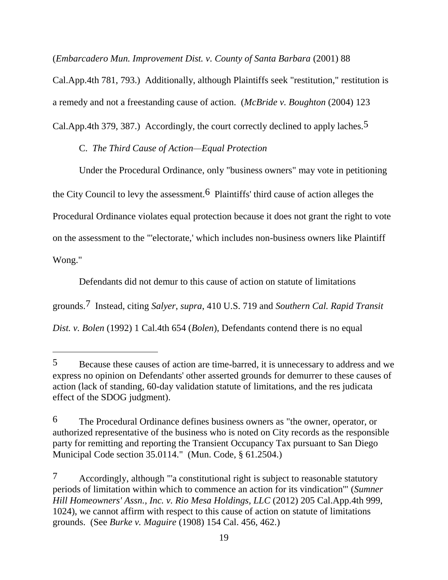(*Embarcadero Mun. Improvement Dist. v. County of Santa Barbara* (2001) 88

Cal.App.4th 781, 793.) Additionally, although Plaintiffs seek "restitution," restitution is

a remedy and not a freestanding cause of action. (*McBride v. Boughton* (2004) 123

Cal.App.4th 379, 387.) Accordingly, the court correctly declined to apply laches.<sup>5</sup>

C. *The Third Cause of Action—Equal Protection*

 $\overline{a}$ 

Under the Procedural Ordinance, only "business owners" may vote in petitioning the City Council to levy the assessment.6 Plaintiffs' third cause of action alleges the Procedural Ordinance violates equal protection because it does not grant the right to vote on the assessment to the "'electorate,' which includes non-business owners like Plaintiff Wong."

Defendants did not demur to this cause of action on statute of limitations grounds.7 Instead, citing *Salyer*, *supra*, 410 U.S. 719 and *Southern Cal. Rapid Transit Dist. v. Bolen* (1992) 1 Cal.4th 654 (*Bolen*), Defendants contend there is no equal

<sup>5</sup> Because these causes of action are time-barred, it is unnecessary to address and we express no opinion on Defendants' other asserted grounds for demurrer to these causes of action (lack of standing, 60-day validation statute of limitations, and the res judicata effect of the SDOG judgment).

<sup>6</sup> The Procedural Ordinance defines business owners as "the owner, operator, or authorized representative of the business who is noted on City records as the responsible party for remitting and reporting the Transient Occupancy Tax pursuant to San Diego Municipal Code section 35.0114." (Mun. Code, § 61.2504.)

<sup>7</sup> Accordingly, although "'a constitutional right is subject to reasonable statutory periods of limitation within which to commence an action for its vindication'" (*Sumner Hill Homeowners' Assn., Inc. v. Rio Mesa Holdings, LLC* (2012) 205 Cal.App.4th 999, 1024), we cannot affirm with respect to this cause of action on statute of limitations grounds. (See *Burke v. Maguire* (1908) 154 Cal. 456, 462.)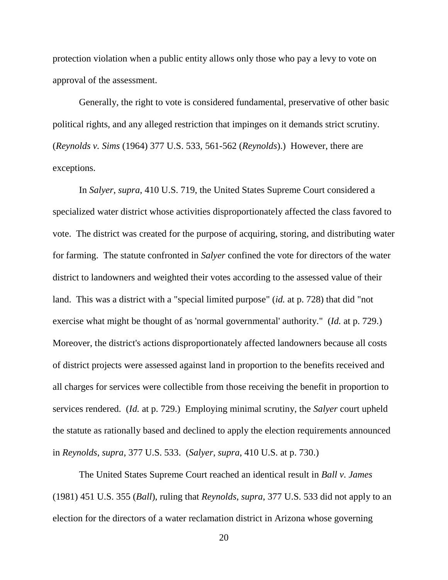protection violation when a public entity allows only those who pay a levy to vote on approval of the assessment.

Generally, the right to vote is considered fundamental, preservative of other basic political rights, and any alleged restriction that impinges on it demands strict scrutiny. (*Reynolds v. Sims* (1964) 377 U.S. 533, 561-562 (*Reynolds*).) However, there are exceptions.

In *Salyer*, *supra*, 410 U.S. 719, the United States Supreme Court considered a specialized water district whose activities disproportionately affected the class favored to vote. The district was created for the purpose of acquiring, storing, and distributing water for farming. The statute confronted in *Salyer* confined the vote for directors of the water district to landowners and weighted their votes according to the assessed value of their land. This was a district with a "special limited purpose" (*id.* at p. 728) that did "not exercise what might be thought of as 'normal governmental' authority." (*Id.* at p. 729.) Moreover, the district's actions disproportionately affected landowners because all costs of district projects were assessed against land in proportion to the benefits received and all charges for services were collectible from those receiving the benefit in proportion to services rendered. (*Id.* at p. 729.) Employing minimal scrutiny, the *Salyer* court upheld the statute as rationally based and declined to apply the election requirements announced in *Reynolds*, *supra*, 377 U.S. 533. (*Salyer*, *supra*, 410 U.S. at p. 730.)

The United States Supreme Court reached an identical result in *Ball v. James*  (1981) 451 U.S. 355 (*Ball*), ruling that *Reynolds*, *supra*, 377 U.S. 533 did not apply to an election for the directors of a water reclamation district in Arizona whose governing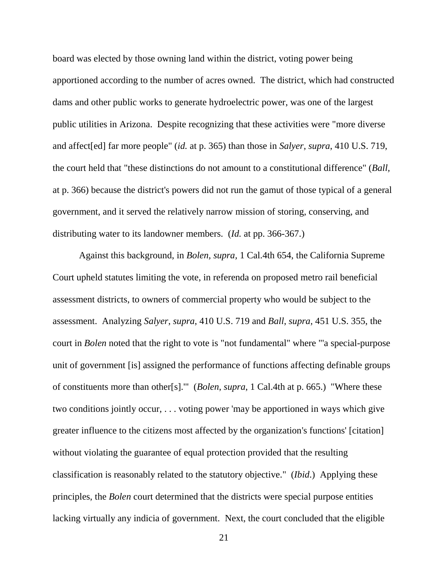board was elected by those owning land within the district, voting power being apportioned according to the number of acres owned. The district, which had constructed dams and other public works to generate hydroelectric power, was one of the largest public utilities in Arizona. Despite recognizing that these activities were "more diverse and affect[ed] far more people" (*id.* at p. 365) than those in *Salyer*, *supra*, 410 U.S. 719, the court held that "these distinctions do not amount to a constitutional difference" (*Ball,* at p. 366) because the district's powers did not run the gamut of those typical of a general government, and it served the relatively narrow mission of storing, conserving, and distributing water to its landowner members. (*Id.* at pp. 366-367.)

Against this background, in *Bolen, supra,* 1 Cal.4th 654, the California Supreme Court upheld statutes limiting the vote, in referenda on proposed metro rail beneficial assessment districts, to owners of commercial property who would be subject to the assessment. Analyzing *Salyer*, *supra*, 410 U.S. 719 and *Ball*, *supra*, 451 U.S. 355, the court in *Bolen* noted that the right to vote is "not fundamental" where "'a special-purpose unit of government [is] assigned the performance of functions affecting definable groups of constituents more than other[s].'" (*Bolen*, *supra*, 1 Cal.4th at p. 665.) "Where these two conditions jointly occur, . . . voting power 'may be apportioned in ways which give greater influence to the citizens most affected by the organization's functions' [citation] without violating the guarantee of equal protection provided that the resulting classification is reasonably related to the statutory objective." (*Ibid*.) Applying these principles, the *Bolen* court determined that the districts were special purpose entities lacking virtually any indicia of government. Next, the court concluded that the eligible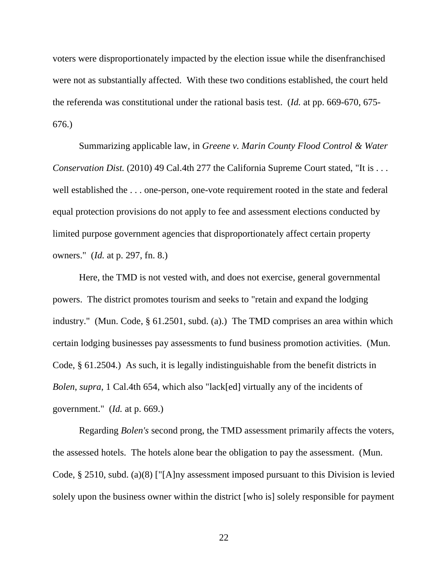voters were disproportionately impacted by the election issue while the disenfranchised were not as substantially affected. With these two conditions established, the court held the referenda was constitutional under the rational basis test. (*Id.* at pp. 669-670, 675- 676.)

Summarizing applicable law, in *Greene v. Marin County Flood Control & Water Conservation Dist.* (2010) 49 Cal.4th 277 the California Supreme Court stated, "It is . . . well established the . . . one-person, one-vote requirement rooted in the state and federal equal protection provisions do not apply to fee and assessment elections conducted by limited purpose government agencies that disproportionately affect certain property owners." (*Id.* at p. 297, fn. 8.)

Here, the TMD is not vested with, and does not exercise, general governmental powers. The district promotes tourism and seeks to "retain and expand the lodging industry." (Mun. Code, § 61.2501, subd. (a).) The TMD comprises an area within which certain lodging businesses pay assessments to fund business promotion activities. (Mun. Code, § 61.2504.) As such, it is legally indistinguishable from the benefit districts in *Bolen*, *supra*, 1 Cal.4th 654, which also "lack[ed] virtually any of the incidents of government." (*Id.* at p. 669.)

Regarding *Bolen's* second prong, the TMD assessment primarily affects the voters, the assessed hotels. The hotels alone bear the obligation to pay the assessment. (Mun. Code, § 2510, subd. (a)(8) ["[A]ny assessment imposed pursuant to this Division is levied solely upon the business owner within the district [who is] solely responsible for payment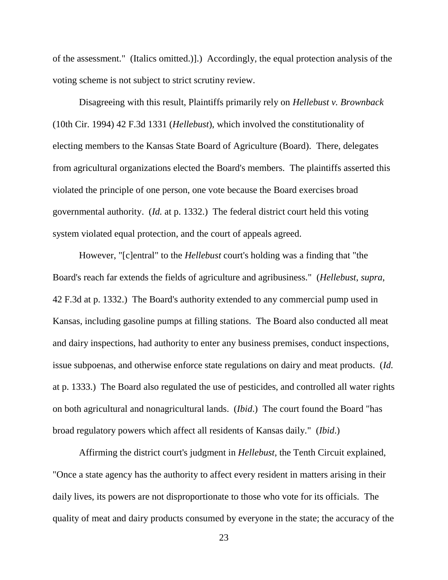of the assessment." (Italics omitted.)].) Accordingly, the equal protection analysis of the voting scheme is not subject to strict scrutiny review.

Disagreeing with this result, Plaintiffs primarily rely on *Hellebust v. Brownback*  (10th Cir. 1994) 42 F.3d 1331 (*Hellebust*), which involved the constitutionality of electing members to the Kansas State Board of Agriculture (Board). There, delegates from agricultural organizations elected the Board's members. The plaintiffs asserted this violated the principle of one person, one vote because the Board exercises broad governmental authority. (*Id.* at p. 1332.) The federal district court held this voting system violated equal protection, and the court of appeals agreed.

However, "[c]entral" to the *Hellebust* court's holding was a finding that "the Board's reach far extends the fields of agriculture and agribusiness." (*Hellebust*, *supra*, 42 F.3d at p. 1332.) The Board's authority extended to any commercial pump used in Kansas, including gasoline pumps at filling stations. The Board also conducted all meat and dairy inspections, had authority to enter any business premises, conduct inspections, issue subpoenas, and otherwise enforce state regulations on dairy and meat products. (*Id.*  at p. 1333.) The Board also regulated the use of pesticides, and controlled all water rights on both agricultural and nonagricultural lands. (*Ibid*.) The court found the Board "has broad regulatory powers which affect all residents of Kansas daily." (*Ibid*.)

Affirming the district court's judgment in *Hellebust*, the Tenth Circuit explained, "Once a state agency has the authority to affect every resident in matters arising in their daily lives, its powers are not disproportionate to those who vote for its officials. The quality of meat and dairy products consumed by everyone in the state; the accuracy of the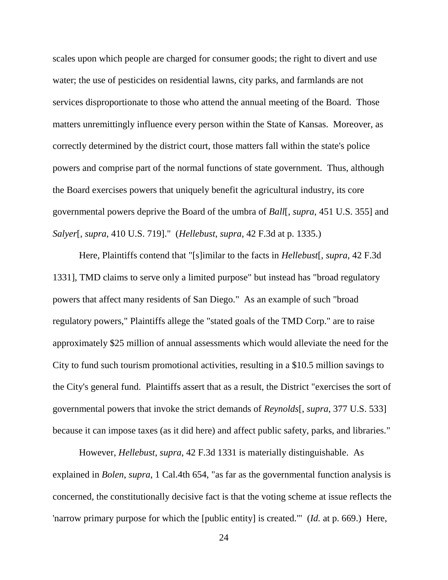scales upon which people are charged for consumer goods; the right to divert and use water; the use of pesticides on residential lawns, city parks, and farmlands are not services disproportionate to those who attend the annual meeting of the Board. Those matters unremittingly influence every person within the State of Kansas. Moreover, as correctly determined by the district court, those matters fall within the state's police powers and comprise part of the normal functions of state government. Thus, although the Board exercises powers that uniquely benefit the agricultural industry, its core governmental powers deprive the Board of the umbra of *Ball*[, *supra*, 451 U.S. 355] and *Salyer*[, *supra*, 410 U.S. 719]." (*Hellebust*, *supra*, 42 F.3d at p. 1335.)

Here, Plaintiffs contend that "[s]imilar to the facts in *Hellebust*[, *supra*, 42 F.3d 1331], TMD claims to serve only a limited purpose" but instead has "broad regulatory powers that affect many residents of San Diego." As an example of such "broad regulatory powers," Plaintiffs allege the "stated goals of the TMD Corp." are to raise approximately \$25 million of annual assessments which would alleviate the need for the City to fund such tourism promotional activities, resulting in a \$10.5 million savings to the City's general fund. Plaintiffs assert that as a result, the District "exercises the sort of governmental powers that invoke the strict demands of *Reynolds*[, *supra*, 377 U.S. 533] because it can impose taxes (as it did here) and affect public safety, parks, and libraries."

However, *Hellebust*, *supra*, 42 F.3d 1331 is materially distinguishable. As explained in *Bolen*, *supra*, 1 Cal.4th 654, "as far as the governmental function analysis is concerned, the constitutionally decisive fact is that the voting scheme at issue reflects the 'narrow primary purpose for which the [public entity] is created.'" (*Id.* at p. 669.) Here,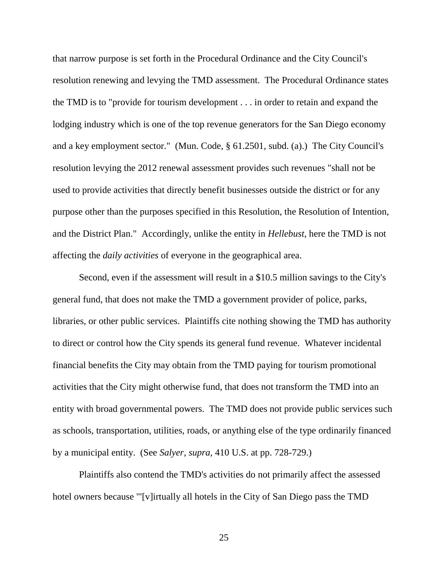that narrow purpose is set forth in the Procedural Ordinance and the City Council's resolution renewing and levying the TMD assessment. The Procedural Ordinance states the TMD is to "provide for tourism development . . . in order to retain and expand the lodging industry which is one of the top revenue generators for the San Diego economy and a key employment sector." (Mun. Code, § 61.2501, subd. (a).) The City Council's resolution levying the 2012 renewal assessment provides such revenues "shall not be used to provide activities that directly benefit businesses outside the district or for any purpose other than the purposes specified in this Resolution, the Resolution of Intention, and the District Plan." Accordingly, unlike the entity in *Hellebust*, here the TMD is not affecting the *daily activities* of everyone in the geographical area.

Second, even if the assessment will result in a \$10.5 million savings to the City's general fund, that does not make the TMD a government provider of police, parks, libraries, or other public services. Plaintiffs cite nothing showing the TMD has authority to direct or control how the City spends its general fund revenue. Whatever incidental financial benefits the City may obtain from the TMD paying for tourism promotional activities that the City might otherwise fund, that does not transform the TMD into an entity with broad governmental powers. The TMD does not provide public services such as schools, transportation, utilities, roads, or anything else of the type ordinarily financed by a municipal entity. (See *Salyer*, *supra*, 410 U.S. at pp. 728-729.)

Plaintiffs also contend the TMD's activities do not primarily affect the assessed hotel owners because "'[v]irtually all hotels in the City of San Diego pass the TMD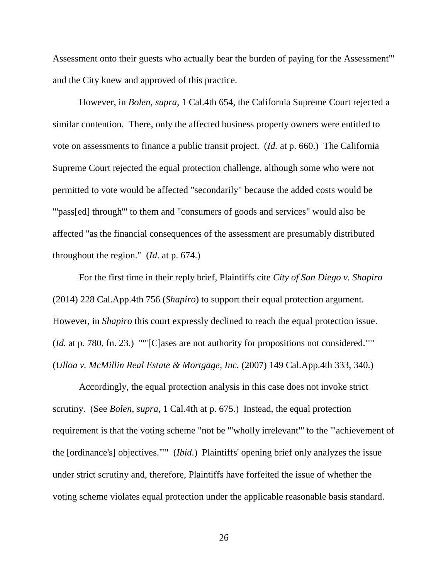Assessment onto their guests who actually bear the burden of paying for the Assessment'" and the City knew and approved of this practice.

However, in *Bolen*, *supra*, 1 Cal.4th 654, the California Supreme Court rejected a similar contention. There, only the affected business property owners were entitled to vote on assessments to finance a public transit project. (*Id.* at p. 660.) The California Supreme Court rejected the equal protection challenge, although some who were not permitted to vote would be affected "secondarily" because the added costs would be "'pass[ed] through'" to them and "consumers of goods and services" would also be affected "as the financial consequences of the assessment are presumably distributed throughout the region." (*Id*. at p. 674.)

For the first time in their reply brief, Plaintiffs cite *City of San Diego v. Shapiro*  (2014) 228 Cal.App.4th 756 (*Shapiro*) to support their equal protection argument. However, in *Shapiro* this court expressly declined to reach the equal protection issue. (*Id.* at p. 780, fn. 23.) "'"[C]ases are not authority for propositions not considered."'" (*Ulloa v. McMillin Real Estate & Mortgage, Inc.* (2007) 149 Cal.App.4th 333, 340.)

Accordingly, the equal protection analysis in this case does not invoke strict scrutiny. (See *Bolen*, *supra*, 1 Cal.4th at p. 675.) Instead, the equal protection requirement is that the voting scheme "not be '"wholly irrelevant"' to the '"achievement of the [ordinance's] objectives."'" (*Ibid*.) Plaintiffs' opening brief only analyzes the issue under strict scrutiny and, therefore, Plaintiffs have forfeited the issue of whether the voting scheme violates equal protection under the applicable reasonable basis standard.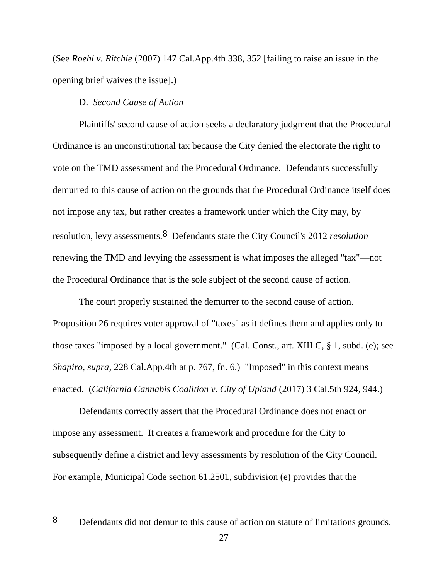(See *Roehl v. Ritchie* (2007) 147 Cal.App.4th 338, 352 [failing to raise an issue in the opening brief waives the issue].)

## D. *Second Cause of Action*

Plaintiffs' second cause of action seeks a declaratory judgment that the Procedural Ordinance is an unconstitutional tax because the City denied the electorate the right to vote on the TMD assessment and the Procedural Ordinance. Defendants successfully demurred to this cause of action on the grounds that the Procedural Ordinance itself does not impose any tax, but rather creates a framework under which the City may, by resolution, levy assessments.8 Defendants state the City Council's 2012 *resolution* renewing the TMD and levying the assessment is what imposes the alleged "tax"—not the Procedural Ordinance that is the sole subject of the second cause of action.

The court properly sustained the demurrer to the second cause of action. Proposition 26 requires voter approval of "taxes" as it defines them and applies only to those taxes "imposed by a local government." (Cal. Const., art. XIII C, § 1, subd. (e); see *Shapiro*, *supra*, 228 Cal.App.4th at p. 767, fn. 6.) "Imposed" in this context means enacted. (*California Cannabis Coalition v. City of Upland* (2017) 3 Cal.5th 924, 944.)

Defendants correctly assert that the Procedural Ordinance does not enact or impose any assessment. It creates a framework and procedure for the City to subsequently define a district and levy assessments by resolution of the City Council. For example, Municipal Code section 61.2501, subdivision (e) provides that the

 $\overline{a}$ 

<sup>8</sup> Defendants did not demur to this cause of action on statute of limitations grounds.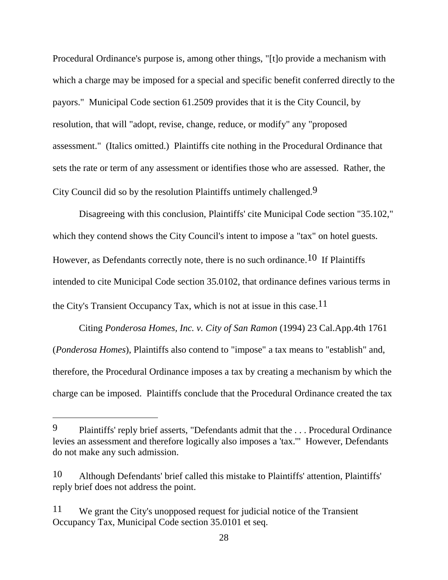Procedural Ordinance's purpose is, among other things, "[t]o provide a mechanism with which a charge may be imposed for a special and specific benefit conferred directly to the payors." Municipal Code section 61.2509 provides that it is the City Council, by resolution, that will "adopt, revise, change, reduce, or modify" any "proposed assessment." (Italics omitted.) Plaintiffs cite nothing in the Procedural Ordinance that sets the rate or term of any assessment or identifies those who are assessed. Rather, the City Council did so by the resolution Plaintiffs untimely challenged.9

Disagreeing with this conclusion, Plaintiffs' cite Municipal Code section "35.102," which they contend shows the City Council's intent to impose a "tax" on hotel guests. However, as Defendants correctly note, there is no such ordinance.<sup>10</sup> If Plaintiffs intended to cite Municipal Code section 35.0102, that ordinance defines various terms in the City's Transient Occupancy Tax, which is not at issue in this case.  $11$ 

Citing *Ponderosa Homes, Inc. v. City of San Ramon* (1994) 23 Cal.App.4th 1761 (*Ponderosa Homes*), Plaintiffs also contend to "impose" a tax means to "establish" and, therefore, the Procedural Ordinance imposes a tax by creating a mechanism by which the charge can be imposed. Plaintiffs conclude that the Procedural Ordinance created the tax

 $\overline{a}$ 

<sup>9</sup> Plaintiffs' reply brief asserts, "Defendants admit that the . . . Procedural Ordinance levies an assessment and therefore logically also imposes a 'tax.'" However, Defendants do not make any such admission.

<sup>10</sup> Although Defendants' brief called this mistake to Plaintiffs' attention, Plaintiffs' reply brief does not address the point.

<sup>11</sup> We grant the City's unopposed request for judicial notice of the Transient Occupancy Tax, Municipal Code section 35.0101 et seq.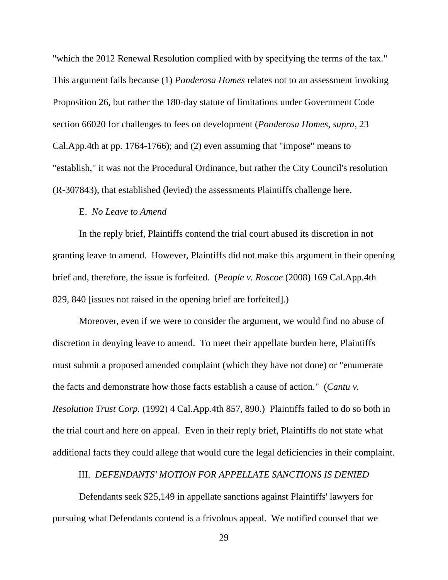"which the 2012 Renewal Resolution complied with by specifying the terms of the tax." This argument fails because (1) *Ponderosa Homes* relates not to an assessment invoking Proposition 26, but rather the 180-day statute of limitations under Government Code section 66020 for challenges to fees on development (*Ponderosa Homes*, *supra*, 23 Cal.App.4th at pp. 1764-1766); and (2) even assuming that "impose" means to "establish," it was not the Procedural Ordinance, but rather the City Council's resolution (R-307843), that established (levied) the assessments Plaintiffs challenge here.

### E. *No Leave to Amend*

In the reply brief, Plaintiffs contend the trial court abused its discretion in not granting leave to amend. However, Plaintiffs did not make this argument in their opening brief and, therefore, the issue is forfeited. (*People v. Roscoe* (2008) 169 Cal.App.4th 829, 840 [issues not raised in the opening brief are forfeited].)

Moreover, even if we were to consider the argument, we would find no abuse of discretion in denying leave to amend. To meet their appellate burden here, Plaintiffs must submit a proposed amended complaint (which they have not done) or "enumerate the facts and demonstrate how those facts establish a cause of action." (*Cantu v. Resolution Trust Corp.* (1992) 4 Cal.App.4th 857, 890.) Plaintiffs failed to do so both in the trial court and here on appeal. Even in their reply brief, Plaintiffs do not state what additional facts they could allege that would cure the legal deficiencies in their complaint.

# III. *DEFENDANTS' MOTION FOR APPELLATE SANCTIONS IS DENIED*

Defendants seek \$25,149 in appellate sanctions against Plaintiffs' lawyers for pursuing what Defendants contend is a frivolous appeal. We notified counsel that we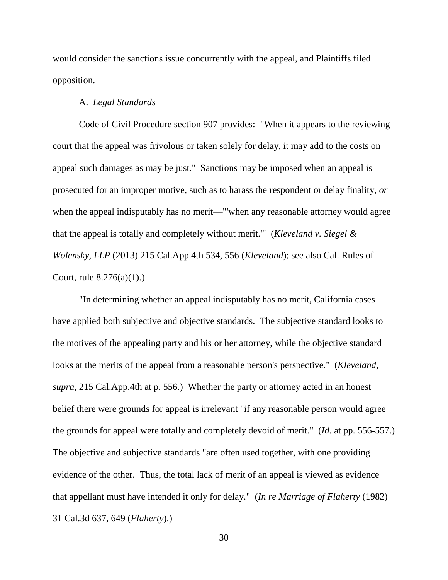would consider the sanctions issue concurrently with the appeal, and Plaintiffs filed opposition.

#### A. *Legal Standards*

Code of Civil Procedure section 907 provides: "When it appears to the reviewing court that the appeal was frivolous or taken solely for delay, it may add to the costs on appeal such damages as may be just." Sanctions may be imposed when an appeal is prosecuted for an improper motive, such as to harass the respondent or delay finality, *or*  when the appeal indisputably has no merit—"'when any reasonable attorney would agree that the appeal is totally and completely without merit.'" (*Kleveland v. Siegel & Wolensky, LLP* (2013) 215 Cal.App.4th 534, 556 (*Kleveland*); see also Cal. Rules of Court, rule 8.276(a)(1).)

"In determining whether an appeal indisputably has no merit, California cases have applied both subjective and objective standards. The subjective standard looks to the motives of the appealing party and his or her attorney, while the objective standard looks at the merits of the appeal from a reasonable person's perspective." (*Kleveland*, *supra*, 215 Cal.App.4th at p. 556.) Whether the party or attorney acted in an honest belief there were grounds for appeal is irrelevant "if any reasonable person would agree the grounds for appeal were totally and completely devoid of merit." (*Id.* at pp. 556-557.) The objective and subjective standards "are often used together, with one providing evidence of the other. Thus, the total lack of merit of an appeal is viewed as evidence that appellant must have intended it only for delay." (*In re Marriage of Flaherty* (1982) 31 Cal.3d 637, 649 (*Flaherty*).)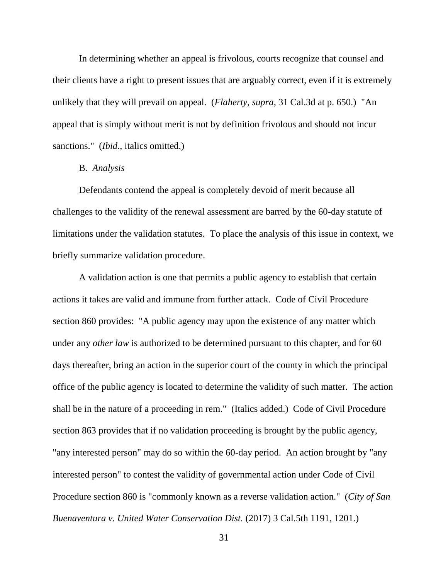In determining whether an appeal is frivolous, courts recognize that counsel and their clients have a right to present issues that are arguably correct, even if it is extremely unlikely that they will prevail on appeal. (*Flaherty*, *supra*, 31 Cal.3d at p. 650.) "An appeal that is simply without merit is not by definition frivolous and should not incur sanctions." (*Ibid.*, italics omitted.)

## B. *Analysis*

Defendants contend the appeal is completely devoid of merit because all challenges to the validity of the renewal assessment are barred by the 60-day statute of limitations under the validation statutes. To place the analysis of this issue in context, we briefly summarize validation procedure.

A validation action is one that permits a public agency to establish that certain actions it takes are valid and immune from further attack. Code of Civil Procedure section 860 provides: "A public agency may upon the existence of any matter which under any *other law* is authorized to be determined pursuant to this chapter, and for 60 days thereafter, bring an action in the superior court of the county in which the principal office of the public agency is located to determine the validity of such matter. The action shall be in the nature of a proceeding in rem." (Italics added.) Code of Civil Procedure section 863 provides that if no validation proceeding is brought by the public agency, "any interested person" may do so within the 60-day period. An action brought by "any interested person" to contest the validity of governmental action under Code of Civil Procedure section 860 is "commonly known as a reverse validation action." (*City of San Buenaventura v. United Water Conservation Dist.* (2017) 3 Cal.5th 1191, 1201.)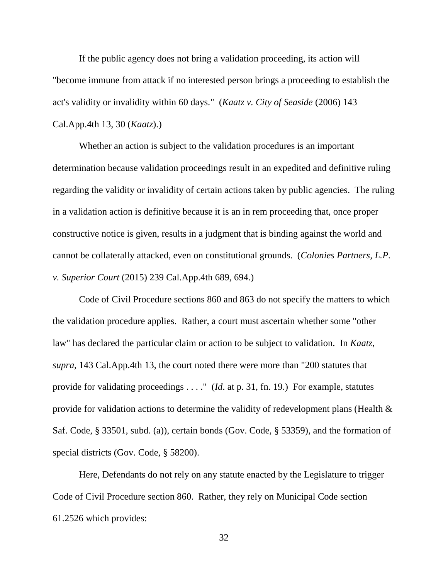If the public agency does not bring a validation proceeding, its action will "become immune from attack if no interested person brings a proceeding to establish the act's validity or invalidity within 60 days." (*Kaatz v. City of Seaside* (2006) 143 Cal.App.4th 13, 30 (*Kaatz*).)

Whether an action is subject to the validation procedures is an important determination because validation proceedings result in an expedited and definitive ruling regarding the validity or invalidity of certain actions taken by public agencies. The ruling in a validation action is definitive because it is an in rem proceeding that, once proper constructive notice is given, results in a judgment that is binding against the world and cannot be collaterally attacked, even on constitutional grounds. (*Colonies Partners, L.P. v. Superior Court* (2015) 239 Cal.App.4th 689, 694.)

Code of Civil Procedure sections 860 and 863 do not specify the matters to which the validation procedure applies. Rather, a court must ascertain whether some "other law" has declared the particular claim or action to be subject to validation. In *Kaatz*, *supra*, 143 Cal.App.4th 13, the court noted there were more than "200 statutes that provide for validating proceedings . . . ." (*Id*. at p. 31, fn. 19.) For example, statutes provide for validation actions to determine the validity of redevelopment plans (Health & Saf. Code, § 33501, subd. (a)), certain bonds (Gov. Code, § 53359), and the formation of special districts (Gov. Code, § 58200).

Here, Defendants do not rely on any statute enacted by the Legislature to trigger Code of Civil Procedure section 860. Rather, they rely on Municipal Code section 61.2526 which provides: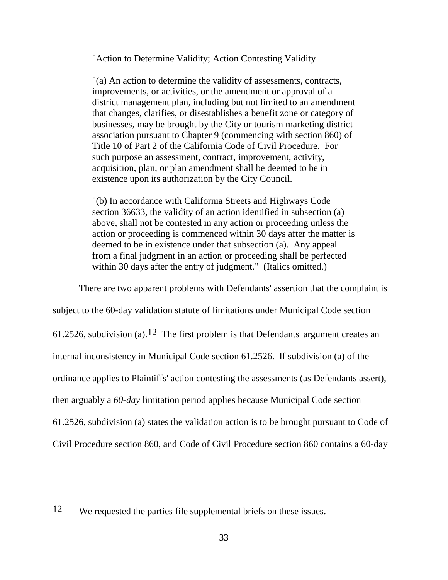"Action to Determine Validity; Action Contesting Validity

"(a) An action to determine the validity of assessments, contracts, improvements, or activities, or the amendment or approval of a district management plan, including but not limited to an amendment that changes, clarifies, or disestablishes a benefit zone or category of businesses, may be brought by the City or tourism marketing district association pursuant to Chapter 9 (commencing with section 860) of Title 10 of Part 2 of the California Code of Civil Procedure. For such purpose an assessment, contract*,* improvement, activity, acquisition, plan, or plan amendment shall be deemed to be in existence upon its authorization by the City Council.

"(b) In accordance with California Streets and Highways Code section 36633, the validity of an action identified in subsection (a) above, shall not be contested in any action or proceeding unless the action or proceeding is commenced within 30 days after the matter is deemed to be in existence under that subsection (a). Any appeal from a final judgment in an action or proceeding shall be perfected within 30 days after the entry of judgment." (Italics omitted.)

There are two apparent problems with Defendants' assertion that the complaint is

subject to the 60-day validation statute of limitations under Municipal Code section 61.2526, subdivision (a).<sup>12</sup> The first problem is that Defendants' argument creates an internal inconsistency in Municipal Code section 61.2526. If subdivision (a) of the ordinance applies to Plaintiffs' action contesting the assessments (as Defendants assert), then arguably a *60-day* limitation period applies because Municipal Code section 61.2526, subdivision (a) states the validation action is to be brought pursuant to Code of Civil Procedure section 860, and Code of Civil Procedure section 860 contains a 60-day

 $\overline{a}$ 

<sup>12</sup> We requested the parties file supplemental briefs on these issues.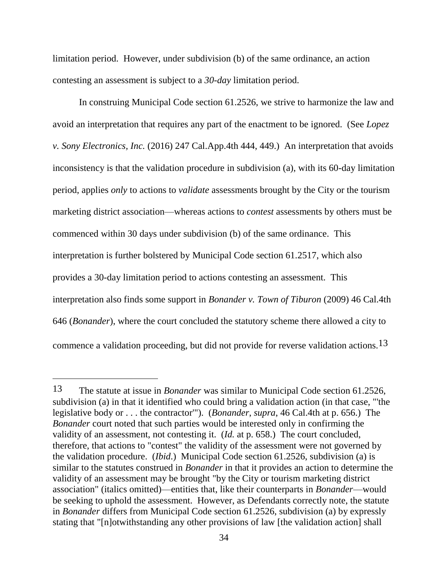limitation period. However, under subdivision (b) of the same ordinance, an action contesting an assessment is subject to a *30-day* limitation period.

In construing Municipal Code section 61.2526, we strive to harmonize the law and avoid an interpretation that requires any part of the enactment to be ignored. (See *Lopez v. Sony Electronics, Inc.* (2016) 247 Cal.App.4th 444, 449.) An interpretation that avoids inconsistency is that the validation procedure in subdivision (a), with its 60-day limitation period, applies *only* to actions to *validate* assessments brought by the City or the tourism marketing district association—whereas actions to *contest* assessments by others must be commenced within 30 days under subdivision (b) of the same ordinance. This interpretation is further bolstered by Municipal Code section 61.2517, which also provides a 30-day limitation period to actions contesting an assessment. This interpretation also finds some support in *Bonander v. Town of Tiburon* (2009) 46 Cal.4th 646 (*Bonander*), where the court concluded the statutory scheme there allowed a city to commence a validation proceeding, but did not provide for reverse validation actions.13

 $\overline{a}$ 

<sup>13</sup> The statute at issue in *Bonander* was similar to Municipal Code section 61.2526, subdivision (a) in that it identified who could bring a validation action (in that case, "'the legislative body or . . . the contractor'"). (*Bonander*, *supra*, 46 Cal.4th at p. 656.) The *Bonander* court noted that such parties would be interested only in confirming the validity of an assessment, not contesting it. (*Id.* at p. 658.) The court concluded, therefore, that actions to "contest" the validity of the assessment were not governed by the validation procedure. (*Ibid*.) Municipal Code section 61.2526, subdivision (a) is similar to the statutes construed in *Bonander* in that it provides an action to determine the validity of an assessment may be brought "by the City or tourism marketing district association" (italics omitted)—entities that, like their counterparts in *Bonander*—would be seeking to uphold the assessment. However, as Defendants correctly note, the statute in *Bonander* differs from Municipal Code section 61.2526, subdivision (a) by expressly stating that "[n]otwithstanding any other provisions of law [the validation action] shall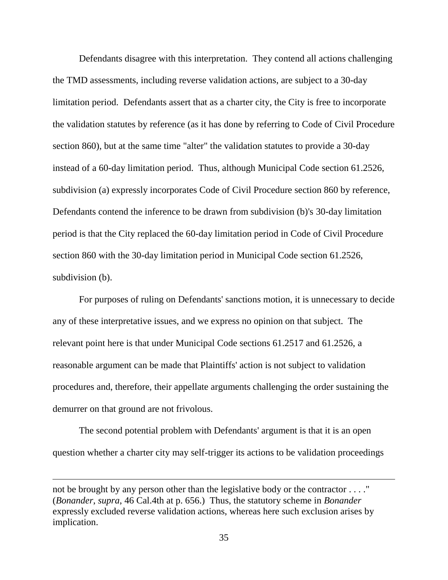Defendants disagree with this interpretation. They contend all actions challenging the TMD assessments, including reverse validation actions, are subject to a 30-day limitation period. Defendants assert that as a charter city, the City is free to incorporate the validation statutes by reference (as it has done by referring to Code of Civil Procedure section 860), but at the same time "alter" the validation statutes to provide a 30-day instead of a 60-day limitation period. Thus, although Municipal Code section 61.2526, subdivision (a) expressly incorporates Code of Civil Procedure section 860 by reference, Defendants contend the inference to be drawn from subdivision (b)'s 30-day limitation period is that the City replaced the 60-day limitation period in Code of Civil Procedure section 860 with the 30-day limitation period in Municipal Code section 61.2526, subdivision (b).

For purposes of ruling on Defendants' sanctions motion, it is unnecessary to decide any of these interpretative issues, and we express no opinion on that subject. The relevant point here is that under Municipal Code sections 61.2517 and 61.2526, a reasonable argument can be made that Plaintiffs' action is not subject to validation procedures and, therefore, their appellate arguments challenging the order sustaining the demurrer on that ground are not frivolous.

The second potential problem with Defendants' argument is that it is an open question whether a charter city may self-trigger its actions to be validation proceedings

not be brought by any person other than the legislative body or the contractor . . . ." (*Bonander*, *supra*, 46 Cal.4th at p. 656.) Thus, the statutory scheme in *Bonander*  expressly excluded reverse validation actions, whereas here such exclusion arises by implication.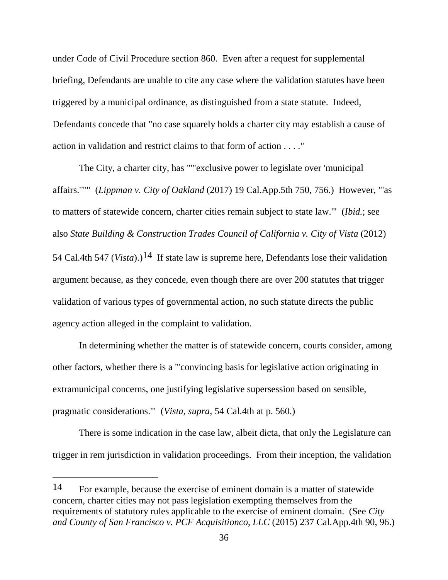under Code of Civil Procedure section 860. Even after a request for supplemental briefing, Defendants are unable to cite any case where the validation statutes have been triggered by a municipal ordinance, as distinguished from a state statute. Indeed, Defendants concede that "no case squarely holds a charter city may establish a cause of action in validation and restrict claims to that form of action . . . ."

The City, a charter city, has "'"exclusive power to legislate over 'municipal affairs.'"'" (*Lippman v. City of Oakland* (2017) 19 Cal.App.5th 750, 756.) However, "'as to matters of statewide concern, charter cities remain subject to state law.'" (*Ibid.*; see also *State Building & Construction Trades Council of California v. City of Vista* (2012) 54 Cal.4th 547 (*Vista*).)14 If state law is supreme here, Defendants lose their validation argument because, as they concede, even though there are over 200 statutes that trigger validation of various types of governmental action, no such statute directs the public agency action alleged in the complaint to validation.

In determining whether the matter is of statewide concern, courts consider, among other factors, whether there is a "'convincing basis for legislative action originating in extramunicipal concerns, one justifying legislative supersession based on sensible, pragmatic considerations.'" (*Vista*, *supra*, 54 Cal.4th at p. 560.)

There is some indication in the case law, albeit dicta, that only the Legislature can trigger in rem jurisdiction in validation proceedings. From their inception, the validation

<sup>14</sup> For example, because the exercise of eminent domain is a matter of statewide concern, charter cities may not pass legislation exempting themselves from the requirements of statutory rules applicable to the exercise of eminent domain. (See *City and County of San Francisco v. PCF Acquisitionco, LLC* (2015) 237 Cal.App.4th 90, 96.)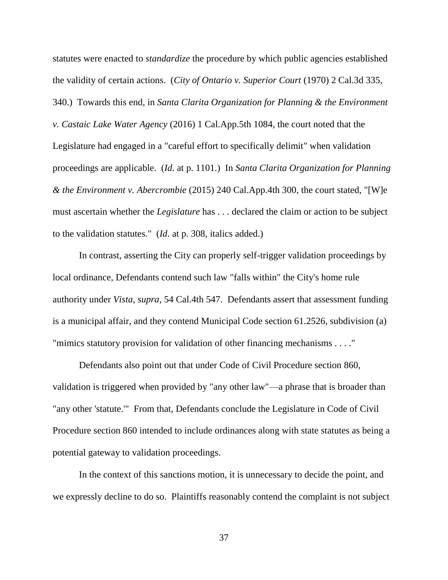statutes were enacted to *standardize* the procedure by which public agencies established the validity of certain actions. (*City of Ontario v. Superior Court* (1970) 2 Cal.3d 335, 340.) Towards this end, in *Santa Clarita Organization for Planning & the Environment v. Castaic Lake Water Agency* (2016) 1 Cal.App.5th 1084, the court noted that the Legislature had engaged in a "careful effort to specifically delimit" when validation proceedings are applicable. (*Id.* at p. 1101.) In *Santa Clarita Organization for Planning & the Environment v. Abercrombie* (2015) 240 Cal.App.4th 300, the court stated, "[W]e must ascertain whether the *Legislature* has . . . declared the claim or action to be subject to the validation statutes." (*Id*. at p. 308, italics added.)

In contrast, asserting the City can properly self-trigger validation proceedings by local ordinance, Defendants contend such law "falls within" the City's home rule authority under *Vista*, *supra*, 54 Cal.4th 547. Defendants assert that assessment funding is a municipal affair, and they contend Municipal Code section 61.2526, subdivision (a) "mimics statutory provision for validation of other financing mechanisms . . . ."

Defendants also point out that under Code of Civil Procedure section 860, validation is triggered when provided by "any other law"—a phrase that is broader than "any other 'statute.'" From that, Defendants conclude the Legislature in Code of Civil Procedure section 860 intended to include ordinances along with state statutes as being a potential gateway to validation proceedings.

In the context of this sanctions motion, it is unnecessary to decide the point, and we expressly decline to do so. Plaintiffs reasonably contend the complaint is not subject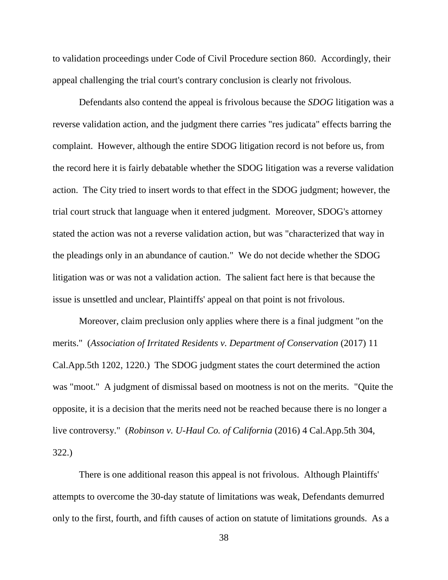to validation proceedings under Code of Civil Procedure section 860. Accordingly, their appeal challenging the trial court's contrary conclusion is clearly not frivolous.

Defendants also contend the appeal is frivolous because the *SDOG* litigation was a reverse validation action, and the judgment there carries "res judicata" effects barring the complaint. However, although the entire SDOG litigation record is not before us, from the record here it is fairly debatable whether the SDOG litigation was a reverse validation action. The City tried to insert words to that effect in the SDOG judgment; however, the trial court struck that language when it entered judgment. Moreover, SDOG's attorney stated the action was not a reverse validation action, but was "characterized that way in the pleadings only in an abundance of caution." We do not decide whether the SDOG litigation was or was not a validation action. The salient fact here is that because the issue is unsettled and unclear, Plaintiffs' appeal on that point is not frivolous.

Moreover, claim preclusion only applies where there is a final judgment "on the merits." (*Association of Irritated Residents v. Department of Conservation* (2017) 11 Cal.App.5th 1202, 1220.) The SDOG judgment states the court determined the action was "moot." A judgment of dismissal based on mootness is not on the merits. "Quite the opposite, it is a decision that the merits need not be reached because there is no longer a live controversy." (*Robinson v. U-Haul Co. of California* (2016) 4 Cal.App.5th 304, 322.)

There is one additional reason this appeal is not frivolous. Although Plaintiffs' attempts to overcome the 30-day statute of limitations was weak, Defendants demurred only to the first, fourth, and fifth causes of action on statute of limitations grounds. As a